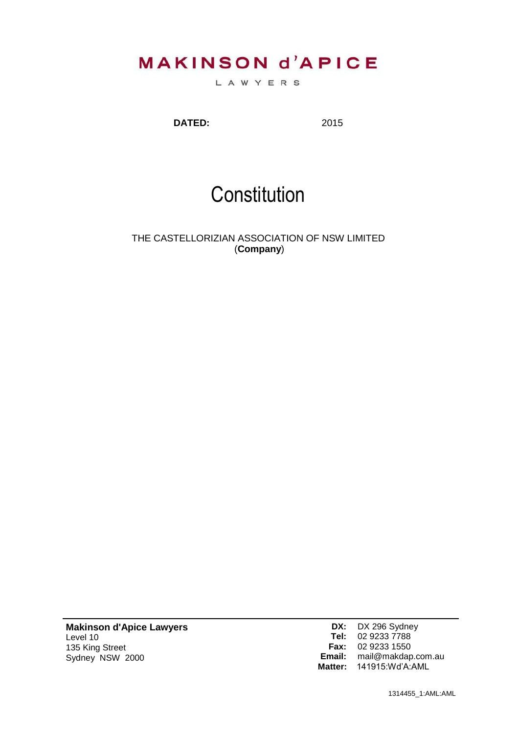# **MAKINSON d'APICE**

LAWYERS

**DATED:** 2015

# **Constitution**

THE CASTELLORIZIAN ASSOCIATION OF NSW LIMITED (**Company**)

**Makinson d'Apice Lawyers** Level 10 135 King Street Sydney NSW 2000

**DX:** DX 296 Sydney **Tel:** 02 9233 7788 **Fax:** 02 9233 1550 **Email:** [mail@makdap.com.au](mailto:mail@makdap.com.au) **Matter:** 141915:Wd'A:AML

1314455\_1:AML:AML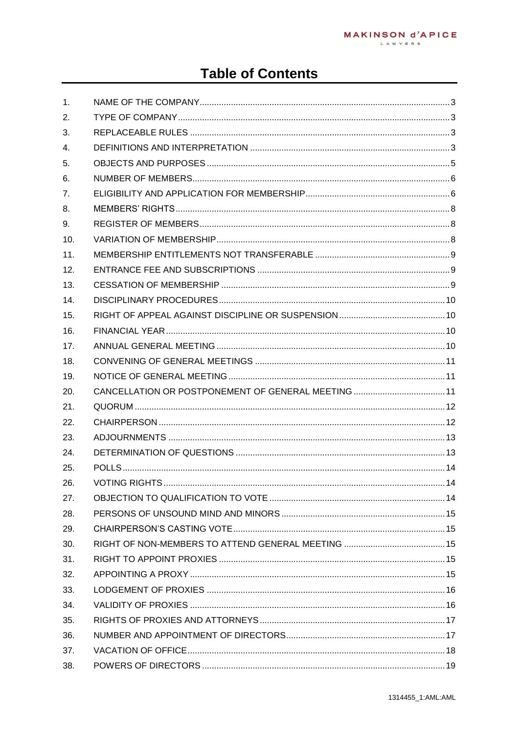## **Table of Contents**

| 1.  |               |            |
|-----|---------------|------------|
| 2.  |               |            |
| 3.  |               |            |
| 4.  |               |            |
| 5.  |               |            |
| 6.  |               |            |
| 7.  |               |            |
| 8.  |               |            |
| 9.  |               |            |
| 10. |               |            |
| 11. |               |            |
| 12. |               |            |
| 13. |               |            |
| 14. |               |            |
| 15. |               |            |
| 16. |               |            |
| 17. |               |            |
| 18. |               |            |
| 19. |               |            |
| 20. |               |            |
| 21. |               |            |
| 22. |               |            |
| 23. |               |            |
| 24. |               |            |
| 25. |               |            |
| 26. | VOTING RIGHTS | $\dots$ 14 |
| 27. |               |            |
| 28. |               |            |
| 29. |               |            |
| 30. |               |            |
| 31. |               |            |
| 32. |               |            |
| 33. |               |            |
| 34. |               |            |
| 35. |               |            |
| 36. |               |            |
| 37. |               |            |
| 38. |               |            |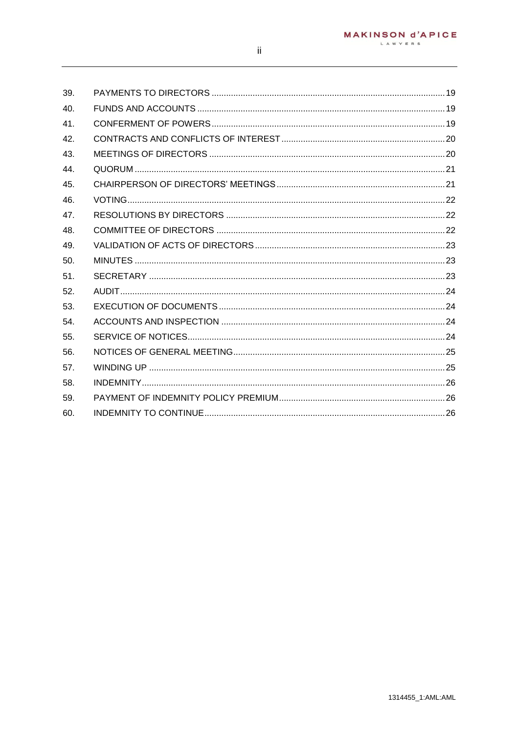| 39. |  |
|-----|--|
| 40. |  |
| 41. |  |
| 42. |  |
| 43. |  |
| 44. |  |
| 45. |  |
| 46. |  |
| 47. |  |
| 48. |  |
| 49. |  |
| 50. |  |
| 51. |  |
| 52. |  |
| 53. |  |
| 54. |  |
| 55. |  |
| 56. |  |
| 57. |  |
| 58. |  |
| 59. |  |
| 60. |  |
|     |  |

 $\,$  ii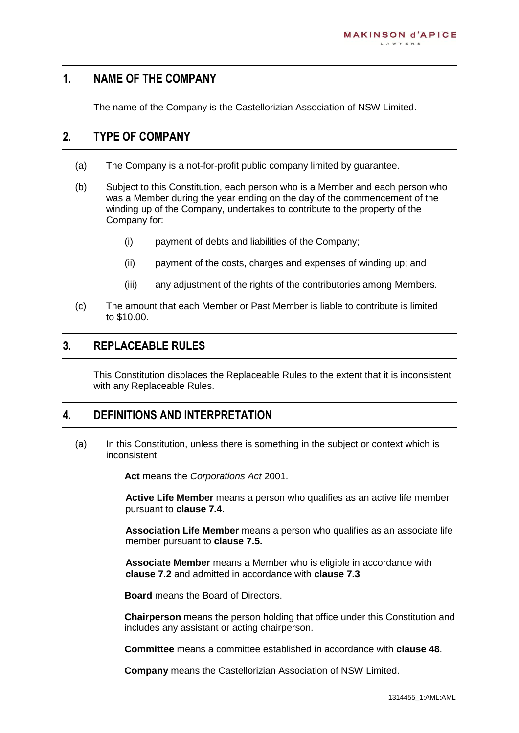#### <span id="page-3-0"></span>**1. NAME OF THE COMPANY**

The name of the Company is the Castellorizian Association of NSW Limited.

#### <span id="page-3-1"></span>**2. TYPE OF COMPANY**

- (a) The Company is a not-for-profit public company limited by guarantee.
- (b) Subject to this Constitution, each person who is a Member and each person who was a Member during the year ending on the day of the commencement of the winding up of the Company, undertakes to contribute to the property of the Company for:
	- (i) payment of debts and liabilities of the Company;
	- (ii) payment of the costs, charges and expenses of winding up; and
	- (iii) any adjustment of the rights of the contributories among Members.
- (c) The amount that each Member or Past Member is liable to contribute is limited to \$10.00.

#### <span id="page-3-2"></span>**3. REPLACEABLE RULES**

This Constitution displaces the Replaceable Rules to the extent that it is inconsistent with any Replaceable Rules.

#### <span id="page-3-3"></span>**4. DEFINITIONS AND INTERPRETATION**

(a) In this Constitution, unless there is something in the subject or context which is inconsistent:

**Act** means the *Corporations Act* 2001.

**Active Life Member** means a person who qualifies as an active life member pursuant to **clause [7.4.](#page-7-0)**

**Association Life Member** means a person who qualifies as an associate life member pursuant to **clause [7.5.](#page-7-1)**

**Associate Member** means a Member who is eligible in accordance with **clause [7.2](#page-6-2)** and admitted in accordance with **clause [7.3](#page-7-2)**

**Board** means the Board of Directors.

**Chairperson** means the person holding that office under this Constitution and includes any assistant or acting chairperson.

**Committee** means a committee established in accordance with **clause [48](#page-22-2)**.

**Company** means the Castellorizian Association of NSW Limited.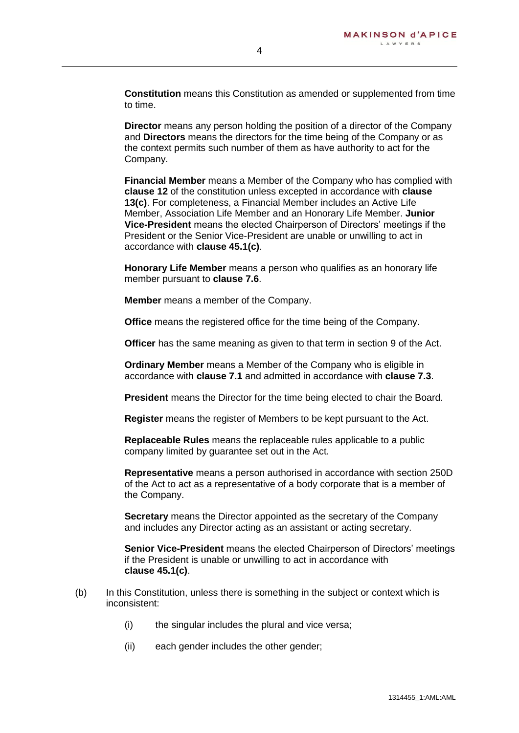**Constitution** means this Constitution as amended or supplemented from time to time.

**Director** means any person holding the position of a director of the Company and **Directors** means the directors for the time being of the Company or as the context permits such number of them as have authority to act for the Company.

**Financial Member** means a Member of the Company who has complied with **clause [12](#page-9-1)** of the constitution unless excepted in accordance with **clause [13\(c\)](#page-9-3)**. For completeness, a Financial Member includes an Active Life Member, Association Life Member and an Honorary Life Member. **Junior Vice-President** means the elected Chairperson of Directors' meetings if the President or the Senior Vice-President are unable or unwilling to act in accordance with **clause [45.1\(c\)](#page-21-2)**.

**Honorary Life Member** means a person who qualifies as an honorary life member pursuant to **clause [7.6](#page-8-3)**.

**Member** means a member of the Company.

**Office** means the registered office for the time being of the Company.

**Officer** has the same meaning as given to that term in section 9 of the Act.

**Ordinary Member** means a Member of the Company who is eligible in accordance with **clause [7.1](#page-6-3)** and admitted in accordance with **clause [7.3](#page-7-2)**.

**President** means the Director for the time being elected to chair the Board.

**Register** means the register of Members to be kept pursuant to the Act.

**Replaceable Rules** means the replaceable rules applicable to a public company limited by guarantee set out in the Act.

**Representative** means a person authorised in accordance with section 250D of the Act to act as a representative of a body corporate that is a member of the Company.

**Secretary** means the Director appointed as the secretary of the Company and includes any Director acting as an assistant or acting secretary.

**Senior Vice-President** means the elected Chairperson of Directors' meetings if the President is unable or unwilling to act in accordance with **clause [45.1\(c\)](#page-21-2)**.

- (b) In this Constitution, unless there is something in the subject or context which is inconsistent:
	- (i) the singular includes the plural and vice versa;
	- (ii) each gender includes the other gender;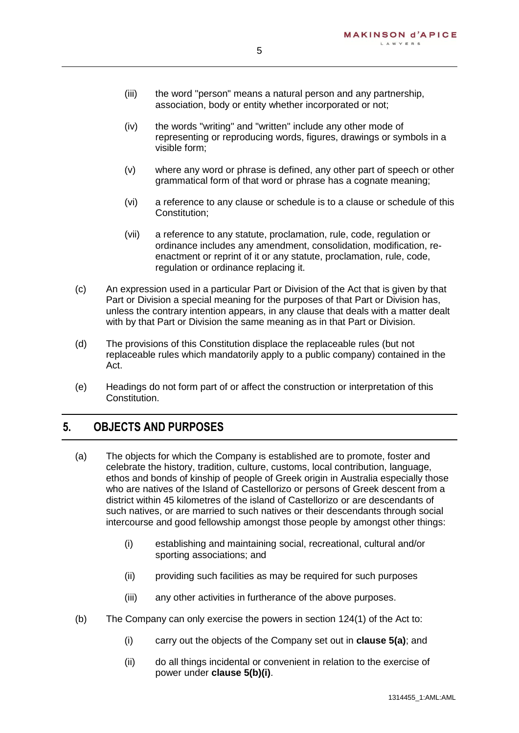- (iii) the word "person" means a natural person and any partnership, association, body or entity whether incorporated or not;
- (iv) the words "writing" and "written" include any other mode of representing or reproducing words, figures, drawings or symbols in a visible form;
- (v) where any word or phrase is defined, any other part of speech or other grammatical form of that word or phrase has a cognate meaning;
- (vi) a reference to any clause or schedule is to a clause or schedule of this Constitution;
- (vii) a reference to any statute, proclamation, rule, code, regulation or ordinance includes any amendment, consolidation, modification, reenactment or reprint of it or any statute, proclamation, rule, code, regulation or ordinance replacing it.
- (c) An expression used in a particular Part or Division of the Act that is given by that Part or Division a special meaning for the purposes of that Part or Division has, unless the contrary intention appears, in any clause that deals with a matter dealt with by that Part or Division the same meaning as in that Part or Division.
- (d) The provisions of this Constitution displace the replaceable rules (but not replaceable rules which mandatorily apply to a public company) contained in the Act.
- (e) Headings do not form part of or affect the construction or interpretation of this Constitution.

## <span id="page-5-0"></span>**5. OBJECTS AND PURPOSES**

- <span id="page-5-1"></span>(a) The objects for which the Company is established are to promote, foster and celebrate the history, tradition, culture, customs, local contribution, language, ethos and bonds of kinship of people of Greek origin in Australia especially those who are natives of the Island of Castellorizo or persons of Greek descent from a district within 45 kilometres of the island of Castellorizo or are descendants of such natives, or are married to such natives or their descendants through social intercourse and good fellowship amongst those people by amongst other things:
	- (i) establishing and maintaining social, recreational, cultural and/or sporting associations; and
	- (ii) providing such facilities as may be required for such purposes
	- (iii) any other activities in furtherance of the above purposes.
- <span id="page-5-2"></span>(b) The Company can only exercise the powers in section 124(1) of the Act to:
	- (i) carry out the objects of the Company set out in **clause [5\(a\)](#page-5-1)**; and
	- (ii) do all things incidental or convenient in relation to the exercise of power under **clause [5\(b\)\(i\)](#page-5-2)**.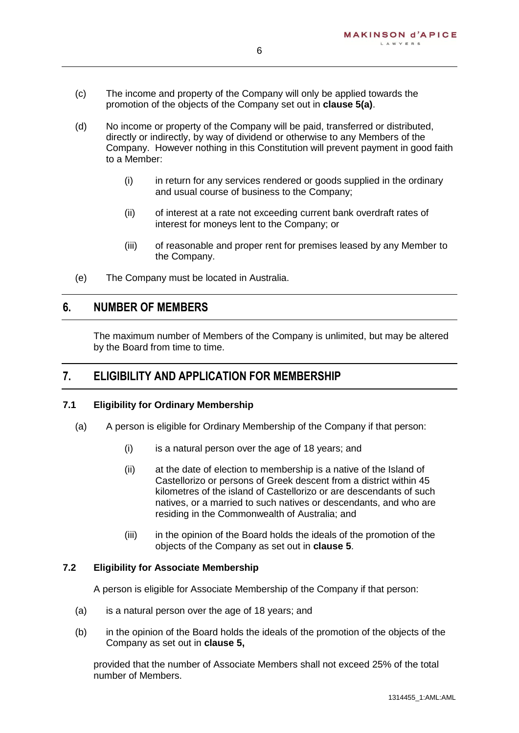- (c) The income and property of the Company will only be applied towards the promotion of the objects of the Company set out in **clause [5\(a\)](#page-5-1)**.
- (d) No income or property of the Company will be paid, transferred or distributed, directly or indirectly, by way of dividend or otherwise to any Members of the Company. However nothing in this Constitution will prevent payment in good faith to a Member:
	- (i) in return for any services rendered or goods supplied in the ordinary and usual course of business to the Company;
	- (ii) of interest at a rate not exceeding current bank overdraft rates of interest for moneys lent to the Company; or
	- (iii) of reasonable and proper rent for premises leased by any Member to the Company.
- (e) The Company must be located in Australia.

#### <span id="page-6-0"></span>**6. NUMBER OF MEMBERS**

The maximum number of Members of the Company is unlimited, but may be altered by the Board from time to time.

#### <span id="page-6-1"></span>**7. ELIGIBILITY AND APPLICATION FOR MEMBERSHIP**

#### <span id="page-6-3"></span>**7.1 Eligibility for Ordinary Membership**

- (a) A person is eligible for Ordinary Membership of the Company if that person:
	- (i) is a natural person over the age of 18 years; and
	- (ii) at the date of election to membership is a native of the Island of Castellorizo or persons of Greek descent from a district within 45 kilometres of the island of Castellorizo or are descendants of such natives, or a married to such natives or descendants, and who are residing in the Commonwealth of Australia; and
	- (iii) in the opinion of the Board holds the ideals of the promotion of the objects of the Company as set out in **clause [5](#page-5-0)**.

#### <span id="page-6-2"></span>**7.2 Eligibility for Associate Membership**

A person is eligible for Associate Membership of the Company if that person:

- (a) is a natural person over the age of 18 years; and
- (b) in the opinion of the Board holds the ideals of the promotion of the objects of the Company as set out in **clause [5,](#page-5-0)**

provided that the number of Associate Members shall not exceed 25% of the total number of Members.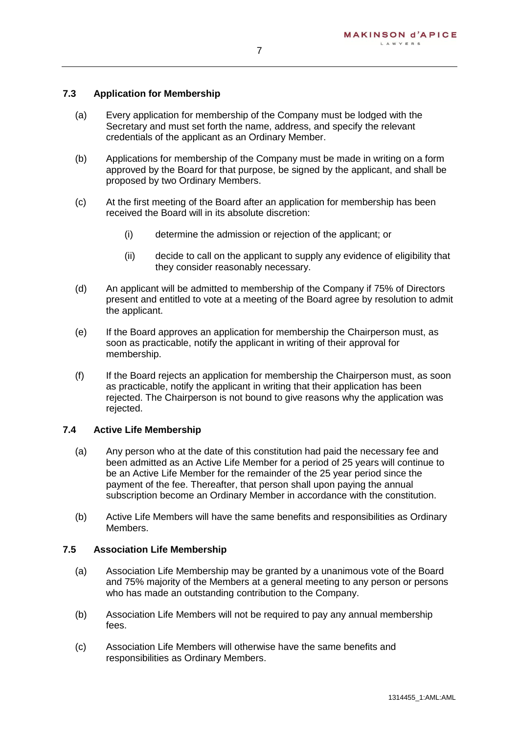#### <span id="page-7-2"></span>**7.3 Application for Membership**

- (a) Every application for membership of the Company must be lodged with the Secretary and must set forth the name, address, and specify the relevant credentials of the applicant as an Ordinary Member.
- (b) Applications for membership of the Company must be made in writing on a form approved by the Board for that purpose, be signed by the applicant, and shall be proposed by two Ordinary Members.
- (c) At the first meeting of the Board after an application for membership has been received the Board will in its absolute discretion:
	- (i) determine the admission or rejection of the applicant; or
	- (ii) decide to call on the applicant to supply any evidence of eligibility that they consider reasonably necessary.
- (d) An applicant will be admitted to membership of the Company if 75% of Directors present and entitled to vote at a meeting of the Board agree by resolution to admit the applicant.
- (e) If the Board approves an application for membership the Chairperson must, as soon as practicable, notify the applicant in writing of their approval for membership.
- (f) If the Board rejects an application for membership the Chairperson must, as soon as practicable, notify the applicant in writing that their application has been rejected. The Chairperson is not bound to give reasons why the application was rejected.

#### <span id="page-7-0"></span>**7.4 Active Life Membership**

- (a) Any person who at the date of this constitution had paid the necessary fee and been admitted as an Active Life Member for a period of 25 years will continue to be an Active Life Member for the remainder of the 25 year period since the payment of the fee. Thereafter, that person shall upon paying the annual subscription become an Ordinary Member in accordance with the constitution.
- (b) Active Life Members will have the same benefits and responsibilities as Ordinary Members.

#### <span id="page-7-1"></span>**7.5 Association Life Membership**

- (a) Association Life Membership may be granted by a unanimous vote of the Board and 75% majority of the Members at a general meeting to any person or persons who has made an outstanding contribution to the Company.
- (b) Association Life Members will not be required to pay any annual membership fees.
- (c) Association Life Members will otherwise have the same benefits and responsibilities as Ordinary Members.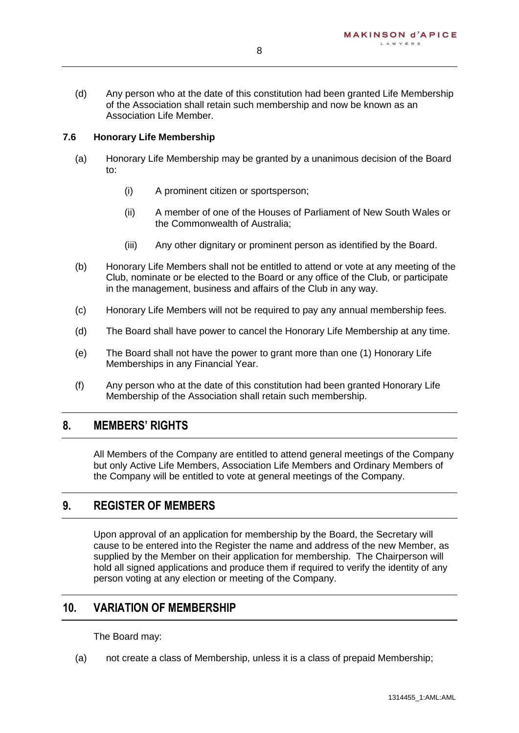(d) Any person who at the date of this constitution had been granted Life Membership of the Association shall retain such membership and now be known as an Association Life Member.

#### <span id="page-8-3"></span>**7.6 Honorary Life Membership**

- (a) Honorary Life Membership may be granted by a unanimous decision of the Board to:
	- (i) A prominent citizen or sportsperson;
	- (ii) A member of one of the Houses of Parliament of New South Wales or the Commonwealth of Australia;
	- (iii) Any other dignitary or prominent person as identified by the Board.
- (b) Honorary Life Members shall not be entitled to attend or vote at any meeting of the Club, nominate or be elected to the Board or any office of the Club, or participate in the management, business and affairs of the Club in any way.
- (c) Honorary Life Members will not be required to pay any annual membership fees.
- (d) The Board shall have power to cancel the Honorary Life Membership at any time.
- (e) The Board shall not have the power to grant more than one (1) Honorary Life Memberships in any Financial Year.
- (f) Any person who at the date of this constitution had been granted Honorary Life Membership of the Association shall retain such membership.

#### <span id="page-8-0"></span>**8. MEMBERS' RIGHTS**

All Members of the Company are entitled to attend general meetings of the Company but only Active Life Members, Association Life Members and Ordinary Members of the Company will be entitled to vote at general meetings of the Company.

#### <span id="page-8-1"></span>**9. REGISTER OF MEMBERS**

Upon approval of an application for membership by the Board, the Secretary will cause to be entered into the Register the name and address of the new Member, as supplied by the Member on their application for membership. The Chairperson will hold all signed applications and produce them if required to verify the identity of any person voting at any election or meeting of the Company.

#### <span id="page-8-2"></span>**10. VARIATION OF MEMBERSHIP**

The Board may:

(a) not create a class of Membership, unless it is a class of prepaid Membership;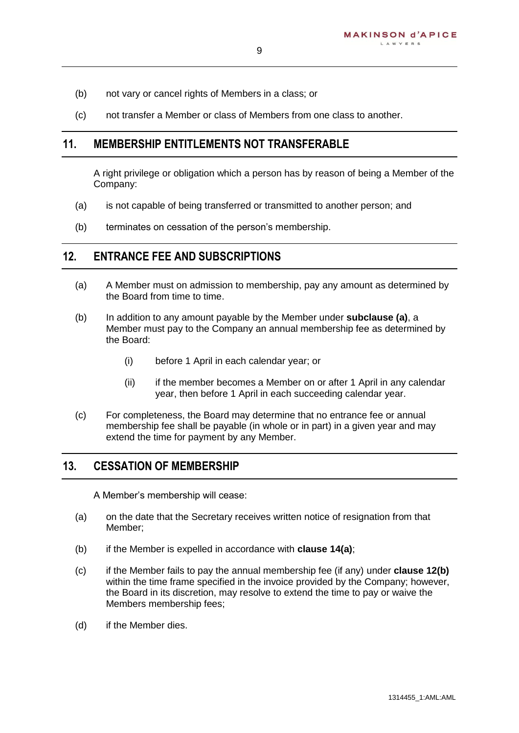- (b) not vary or cancel rights of Members in a class; or
- (c) not transfer a Member or class of Members from one class to another.

#### <span id="page-9-0"></span>**11. MEMBERSHIP ENTITLEMENTS NOT TRANSFERABLE**

A right privilege or obligation which a person has by reason of being a Member of the Company:

- (a) is not capable of being transferred or transmitted to another person; and
- (b) terminates on cessation of the person's membership.

#### <span id="page-9-1"></span>**12. ENTRANCE FEE AND SUBSCRIPTIONS**

- <span id="page-9-4"></span>(a) A Member must on admission to membership, pay any amount as determined by the Board from time to time.
- <span id="page-9-5"></span>(b) In addition to any amount payable by the Member under **subclause [\(a\)](#page-9-4)**, a Member must pay to the Company an annual membership fee as determined by the Board:
	- (i) before 1 April in each calendar year; or
	- (ii) if the member becomes a Member on or after 1 April in any calendar year, then before 1 April in each succeeding calendar year.
- (c) For completeness, the Board may determine that no entrance fee or annual membership fee shall be payable (in whole or in part) in a given year and may extend the time for payment by any Member.

#### <span id="page-9-2"></span>**13. CESSATION OF MEMBERSHIP**

A Member's membership will cease:

- (a) on the date that the Secretary receives written notice of resignation from that Member;
- (b) if the Member is expelled in accordance with **clause [14\(a\)](#page-10-4)**;
- <span id="page-9-3"></span>(c) if the Member fails to pay the annual membership fee (if any) under **clause [12\(b\)](#page-9-5)** within the time frame specified in the invoice provided by the Company; however, the Board in its discretion, may resolve to extend the time to pay or waive the Members membership fees;
- (d) if the Member dies.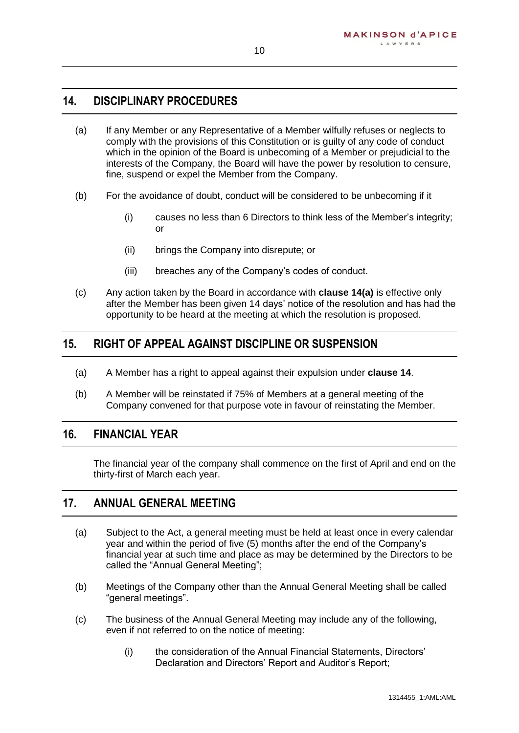## <span id="page-10-0"></span>**14. DISCIPLINARY PROCEDURES**

- <span id="page-10-4"></span>(a) If any Member or any Representative of a Member wilfully refuses or neglects to comply with the provisions of this Constitution or is guilty of any code of conduct which in the opinion of the Board is unbecoming of a Member or prejudicial to the interests of the Company, the Board will have the power by resolution to censure, fine, suspend or expel the Member from the Company.
- (b) For the avoidance of doubt, conduct will be considered to be unbecoming if it
	- (i) causes no less than 6 Directors to think less of the Member's integrity; or
	- (ii) brings the Company into disrepute; or
	- (iii) breaches any of the Company's codes of conduct.
- (c) Any action taken by the Board in accordance with **clause [14\(a\)](#page-10-4)** is effective only after the Member has been given 14 days' notice of the resolution and has had the opportunity to be heard at the meeting at which the resolution is proposed.

#### <span id="page-10-1"></span>**15. RIGHT OF APPEAL AGAINST DISCIPLINE OR SUSPENSION**

- (a) A Member has a right to appeal against their expulsion under **clause [14](#page-10-0)**.
- (b) A Member will be reinstated if 75% of Members at a general meeting of the Company convened for that purpose vote in favour of reinstating the Member.

## <span id="page-10-2"></span>**16. FINANCIAL YEAR**

The financial year of the company shall commence on the first of April and end on the thirty-first of March each year.

#### <span id="page-10-3"></span>**17. ANNUAL GENERAL MEETING**

- (a) Subject to the Act, a general meeting must be held at least once in every calendar year and within the period of five (5) months after the end of the Company's financial year at such time and place as may be determined by the Directors to be called the "Annual General Meeting";
- (b) Meetings of the Company other than the Annual General Meeting shall be called "general meetings".
- (c) The business of the Annual General Meeting may include any of the following, even if not referred to on the notice of meeting:
	- (i) the consideration of the Annual Financial Statements, Directors' Declaration and Directors' Report and Auditor's Report;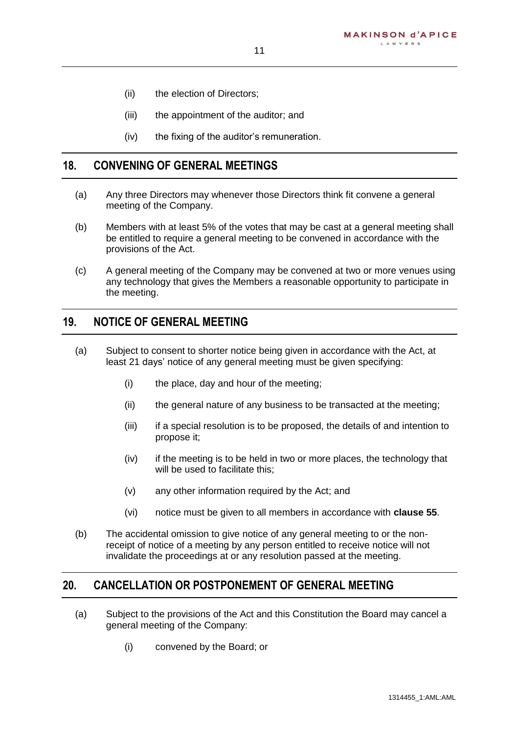- (ii) the election of Directors;
- (iii) the appointment of the auditor; and
- (iv) the fixing of the auditor's remuneration.

#### <span id="page-11-0"></span>**18. CONVENING OF GENERAL MEETINGS**

- (a) Any three Directors may whenever those Directors think fit convene a general meeting of the Company.
- (b) Members with at least 5% of the votes that may be cast at a general meeting shall be entitled to require a general meeting to be convened in accordance with the provisions of the Act.
- (c) A general meeting of the Company may be convened at two or more venues using any technology that gives the Members a reasonable opportunity to participate in the meeting.

## <span id="page-11-1"></span>**19. NOTICE OF GENERAL MEETING**

- (a) Subject to consent to shorter notice being given in accordance with the Act, at least 21 days' notice of any general meeting must be given specifying:
	- (i) the place, day and hour of the meeting;
	- (ii) the general nature of any business to be transacted at the meeting;
	- (iii) if a special resolution is to be proposed, the details of and intention to propose it;
	- (iv) if the meeting is to be held in two or more places, the technology that will be used to facilitate this;
	- (v) any other information required by the Act; and
	- (vi) notice must be given to all members in accordance with **clause [55](#page-24-3)**.
- (b) The accidental omission to give notice of any general meeting to or the nonreceipt of notice of a meeting by any person entitled to receive notice will not invalidate the proceedings at or any resolution passed at the meeting.

#### <span id="page-11-2"></span>**20. CANCELLATION OR POSTPONEMENT OF GENERAL MEETING**

- (a) Subject to the provisions of the Act and this Constitution the Board may cancel a general meeting of the Company:
	- (i) convened by the Board; or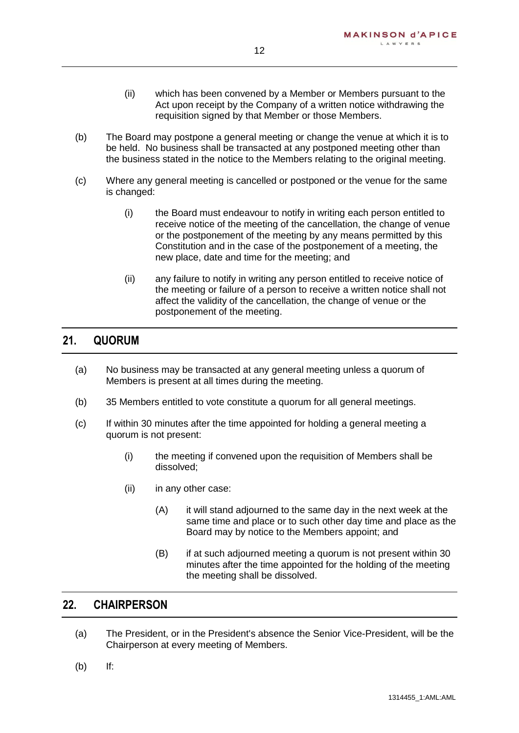- (ii) which has been convened by a Member or Members pursuant to the Act upon receipt by the Company of a written notice withdrawing the requisition signed by that Member or those Members.
- (b) The Board may postpone a general meeting or change the venue at which it is to be held. No business shall be transacted at any postponed meeting other than the business stated in the notice to the Members relating to the original meeting.
- (c) Where any general meeting is cancelled or postponed or the venue for the same is changed:
	- (i) the Board must endeavour to notify in writing each person entitled to receive notice of the meeting of the cancellation, the change of venue or the postponement of the meeting by any means permitted by this Constitution and in the case of the postponement of a meeting, the new place, date and time for the meeting; and
	- (ii) any failure to notify in writing any person entitled to receive notice of the meeting or failure of a person to receive a written notice shall not affect the validity of the cancellation, the change of venue or the postponement of the meeting.

## <span id="page-12-0"></span>**21. QUORUM**

- (a) No business may be transacted at any general meeting unless a quorum of Members is present at all times during the meeting.
- (b) 35 Members entitled to vote constitute a quorum for all general meetings.
- (c) If within 30 minutes after the time appointed for holding a general meeting a quorum is not present:
	- (i) the meeting if convened upon the requisition of Members shall be dissolved;
	- (ii) in any other case:
		- (A) it will stand adjourned to the same day in the next week at the same time and place or to such other day time and place as the Board may by notice to the Members appoint; and
		- (B) if at such adjourned meeting a quorum is not present within 30 minutes after the time appointed for the holding of the meeting the meeting shall be dissolved.

## <span id="page-12-1"></span>**22. CHAIRPERSON**

- (a) The President, or in the President's absence the Senior Vice-President, will be the Chairperson at every meeting of Members.
- (b) If: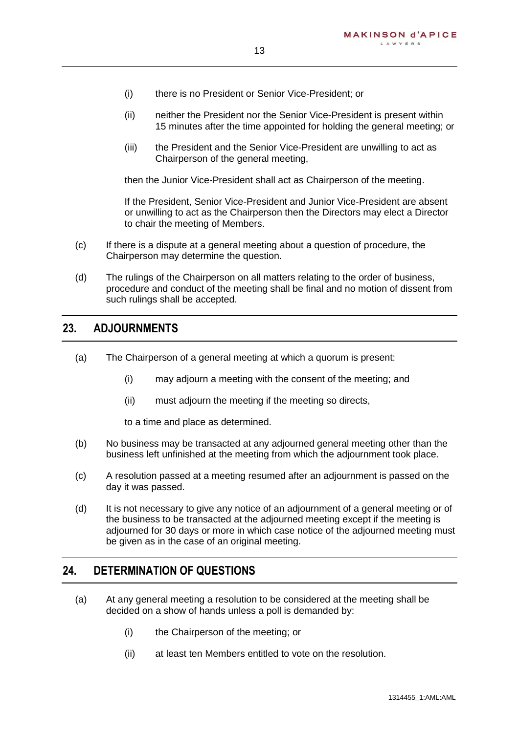- 13
- (i) there is no President or Senior Vice-President; or
- (ii) neither the President nor the Senior Vice-President is present within 15 minutes after the time appointed for holding the general meeting; or
- (iii) the President and the Senior Vice-President are unwilling to act as Chairperson of the general meeting,

then the Junior Vice-President shall act as Chairperson of the meeting.

If the President, Senior Vice-President and Junior Vice-President are absent or unwilling to act as the Chairperson then the Directors may elect a Director to chair the meeting of Members.

- (c) If there is a dispute at a general meeting about a question of procedure, the Chairperson may determine the question.
- (d) The rulings of the Chairperson on all matters relating to the order of business, procedure and conduct of the meeting shall be final and no motion of dissent from such rulings shall be accepted.

#### <span id="page-13-0"></span>**23. ADJOURNMENTS**

- (a) The Chairperson of a general meeting at which a quorum is present:
	- (i) may adjourn a meeting with the consent of the meeting; and
	- (ii) must adjourn the meeting if the meeting so directs,

to a time and place as determined.

- (b) No business may be transacted at any adjourned general meeting other than the business left unfinished at the meeting from which the adjournment took place.
- (c) A resolution passed at a meeting resumed after an adjournment is passed on the day it was passed.
- (d) It is not necessary to give any notice of an adjournment of a general meeting or of the business to be transacted at the adjourned meeting except if the meeting is adjourned for 30 days or more in which case notice of the adjourned meeting must be given as in the case of an original meeting.

#### <span id="page-13-1"></span>**24. DETERMINATION OF QUESTIONS**

- (a) At any general meeting a resolution to be considered at the meeting shall be decided on a show of hands unless a poll is demanded by:
	- (i) the Chairperson of the meeting; or
	- (ii) at least ten Members entitled to vote on the resolution.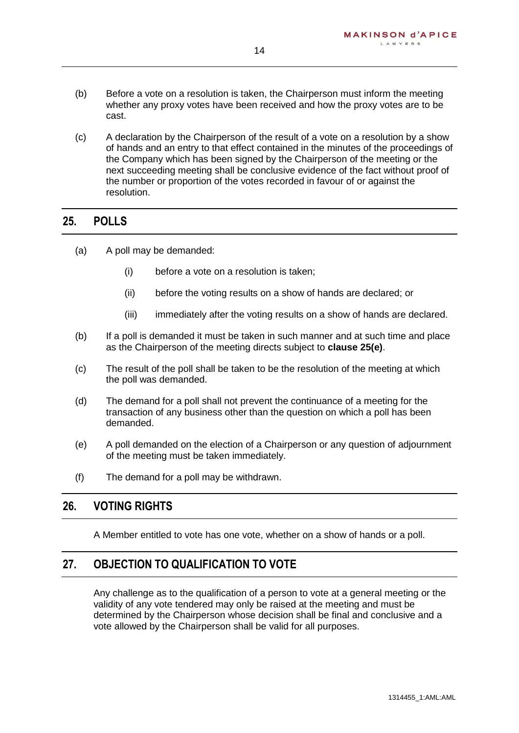- (b) Before a vote on a resolution is taken, the Chairperson must inform the meeting whether any proxy votes have been received and how the proxy votes are to be cast.
- (c) A declaration by the Chairperson of the result of a vote on a resolution by a show of hands and an entry to that effect contained in the minutes of the proceedings of the Company which has been signed by the Chairperson of the meeting or the next succeeding meeting shall be conclusive evidence of the fact without proof of the number or proportion of the votes recorded in favour of or against the resolution.

#### <span id="page-14-0"></span>**25. POLLS**

- (a) A poll may be demanded:
	- (i) before a vote on a resolution is taken;
	- (ii) before the voting results on a show of hands are declared; or
	- (iii) immediately after the voting results on a show of hands are declared.
- (b) If a poll is demanded it must be taken in such manner and at such time and place as the Chairperson of the meeting directs subject to **clause [25\(e\)](#page-14-3)**.
- (c) The result of the poll shall be taken to be the resolution of the meeting at which the poll was demanded.
- (d) The demand for a poll shall not prevent the continuance of a meeting for the transaction of any business other than the question on which a poll has been demanded.
- <span id="page-14-3"></span>(e) A poll demanded on the election of a Chairperson or any question of adjournment of the meeting must be taken immediately.
- (f) The demand for a poll may be withdrawn.

## <span id="page-14-1"></span>**26. VOTING RIGHTS**

A Member entitled to vote has one vote, whether on a show of hands or a poll.

## <span id="page-14-2"></span>**27. OBJECTION TO QUALIFICATION TO VOTE**

Any challenge as to the qualification of a person to vote at a general meeting or the validity of any vote tendered may only be raised at the meeting and must be determined by the Chairperson whose decision shall be final and conclusive and a vote allowed by the Chairperson shall be valid for all purposes.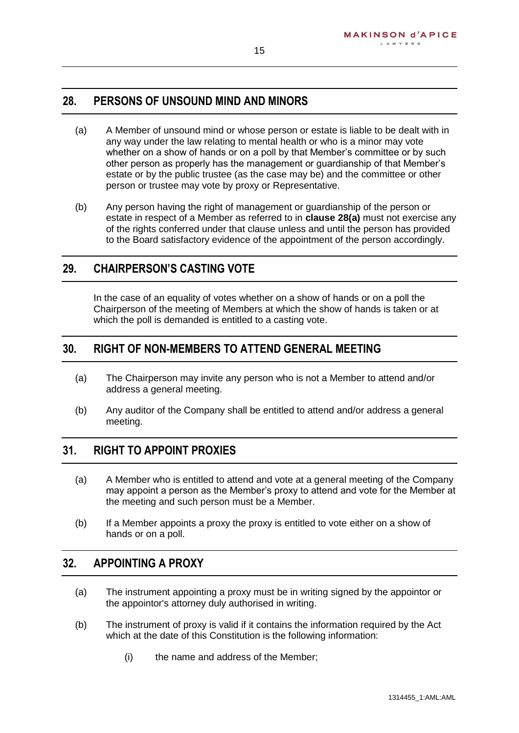## <span id="page-15-0"></span>**28. PERSONS OF UNSOUND MIND AND MINORS**

- <span id="page-15-5"></span>(a) A Member of unsound mind or whose person or estate is liable to be dealt with in any way under the law relating to mental health or who is a minor may vote whether on a show of hands or on a poll by that Member's committee or by such other person as properly has the management or guardianship of that Member's estate or by the public trustee (as the case may be) and the committee or other person or trustee may vote by proxy or Representative.
- (b) Any person having the right of management or guardianship of the person or estate in respect of a Member as referred to in **clause [28\(a\)](#page-15-5)** must not exercise any of the rights conferred under that clause unless and until the person has provided to the Board satisfactory evidence of the appointment of the person accordingly.

#### <span id="page-15-1"></span>**29. CHAIRPERSON'S CASTING VOTE**

In the case of an equality of votes whether on a show of hands or on a poll the Chairperson of the meeting of Members at which the show of hands is taken or at which the poll is demanded is entitled to a casting vote.

#### <span id="page-15-2"></span>**30. RIGHT OF NON-MEMBERS TO ATTEND GENERAL MEETING**

- (a) The Chairperson may invite any person who is not a Member to attend and/or address a general meeting.
- (b) Any auditor of the Company shall be entitled to attend and/or address a general meeting.

#### <span id="page-15-3"></span>**31. RIGHT TO APPOINT PROXIES**

- (a) A Member who is entitled to attend and vote at a general meeting of the Company may appoint a person as the Member's proxy to attend and vote for the Member at the meeting and such person must be a Member.
- (b) If a Member appoints a proxy the proxy is entitled to vote either on a show of hands or on a poll.

#### <span id="page-15-4"></span>**32. APPOINTING A PROXY**

- (a) The instrument appointing a proxy must be in writing signed by the appointor or the appointor's attorney duly authorised in writing.
- <span id="page-15-6"></span>(b) The instrument of proxy is valid if it contains the information required by the Act which at the date of this Constitution is the following information:
	- (i) the name and address of the Member;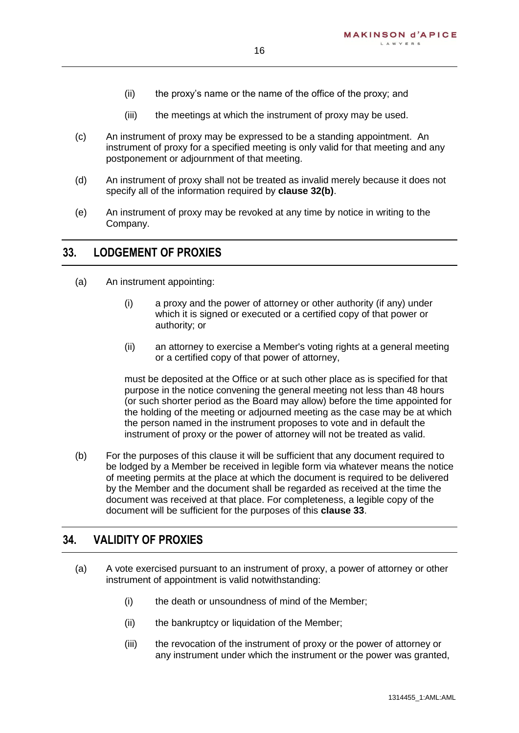- (ii) the proxy's name or the name of the office of the proxy; and
- (iii) the meetings at which the instrument of proxy may be used.
- (c) An instrument of proxy may be expressed to be a standing appointment. An instrument of proxy for a specified meeting is only valid for that meeting and any postponement or adjournment of that meeting.
- (d) An instrument of proxy shall not be treated as invalid merely because it does not specify all of the information required by **clause [32\(b\)](#page-15-6)**.
- (e) An instrument of proxy may be revoked at any time by notice in writing to the Company.

#### <span id="page-16-0"></span>**33. LODGEMENT OF PROXIES**

- (a) An instrument appointing:
	- (i) a proxy and the power of attorney or other authority (if any) under which it is signed or executed or a certified copy of that power or authority; or
	- (ii) an attorney to exercise a Member's voting rights at a general meeting or a certified copy of that power of attorney,

must be deposited at the Office or at such other place as is specified for that purpose in the notice convening the general meeting not less than 48 hours (or such shorter period as the Board may allow) before the time appointed for the holding of the meeting or adjourned meeting as the case may be at which the person named in the instrument proposes to vote and in default the instrument of proxy or the power of attorney will not be treated as valid.

(b) For the purposes of this clause it will be sufficient that any document required to be lodged by a Member be received in legible form via whatever means the notice of meeting permits at the place at which the document is required to be delivered by the Member and the document shall be regarded as received at the time the document was received at that place. For completeness, a legible copy of the document will be sufficient for the purposes of this **clause [33](#page-16-0)**.

#### <span id="page-16-1"></span>**34. VALIDITY OF PROXIES**

- (a) A vote exercised pursuant to an instrument of proxy, a power of attorney or other instrument of appointment is valid notwithstanding:
	- (i) the death or unsoundness of mind of the Member;
	- (ii) the bankruptcy or liquidation of the Member;
	- (iii) the revocation of the instrument of proxy or the power of attorney or any instrument under which the instrument or the power was granted,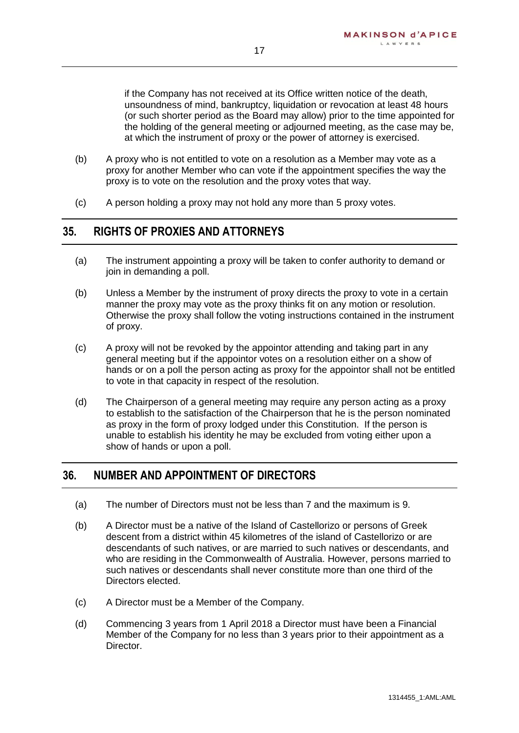if the Company has not received at its Office written notice of the death, unsoundness of mind, bankruptcy, liquidation or revocation at least 48 hours (or such shorter period as the Board may allow) prior to the time appointed for the holding of the general meeting or adjourned meeting, as the case may be, at which the instrument of proxy or the power of attorney is exercised.

- (b) A proxy who is not entitled to vote on a resolution as a Member may vote as a proxy for another Member who can vote if the appointment specifies the way the proxy is to vote on the resolution and the proxy votes that way.
- (c) A person holding a proxy may not hold any more than 5 proxy votes.

#### <span id="page-17-0"></span>**35. RIGHTS OF PROXIES AND ATTORNEYS**

- (a) The instrument appointing a proxy will be taken to confer authority to demand or join in demanding a poll.
- (b) Unless a Member by the instrument of proxy directs the proxy to vote in a certain manner the proxy may vote as the proxy thinks fit on any motion or resolution. Otherwise the proxy shall follow the voting instructions contained in the instrument of proxy.
- (c) A proxy will not be revoked by the appointor attending and taking part in any general meeting but if the appointor votes on a resolution either on a show of hands or on a poll the person acting as proxy for the appointor shall not be entitled to vote in that capacity in respect of the resolution.
- (d) The Chairperson of a general meeting may require any person acting as a proxy to establish to the satisfaction of the Chairperson that he is the person nominated as proxy in the form of proxy lodged under this Constitution. If the person is unable to establish his identity he may be excluded from voting either upon a show of hands or upon a poll.

#### <span id="page-17-1"></span>**36. NUMBER AND APPOINTMENT OF DIRECTORS**

- (a) The number of Directors must not be less than 7 and the maximum is 9.
- (b) A Director must be a native of the Island of Castellorizo or persons of Greek descent from a district within 45 kilometres of the island of Castellorizo or are descendants of such natives, or are married to such natives or descendants, and who are residing in the Commonwealth of Australia. However, persons married to such natives or descendants shall never constitute more than one third of the Directors elected.
- (c) A Director must be a Member of the Company.
- (d) Commencing 3 years from 1 April 2018 a Director must have been a Financial Member of the Company for no less than 3 years prior to their appointment as a Director.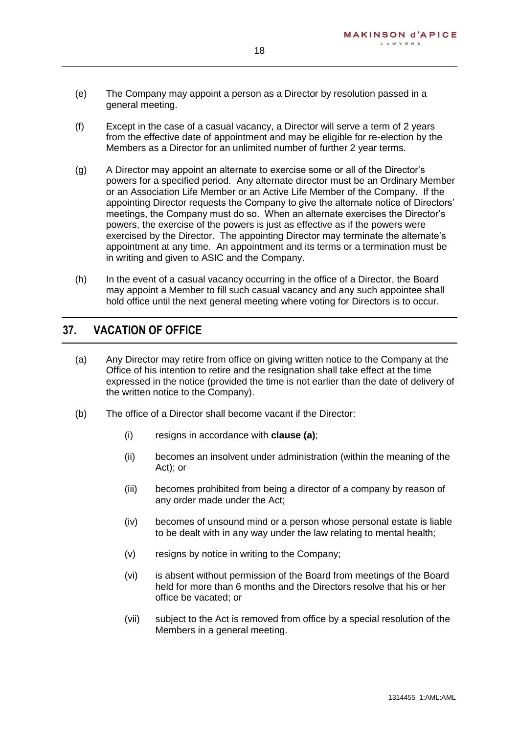- (e) The Company may appoint a person as a Director by resolution passed in a general meeting.
- (f) Except in the case of a casual vacancy, a Director will serve a term of 2 years from the effective date of appointment and may be eligible for re-election by the Members as a Director for an unlimited number of further 2 year terms.
- (g) A Director may appoint an alternate to exercise some or all of the Director's powers for a specified period. Any alternate director must be an Ordinary Member or an Association Life Member or an Active Life Member of the Company. If the appointing Director requests the Company to give the alternate notice of Directors' meetings, the Company must do so. When an alternate exercises the Director's powers, the exercise of the powers is just as effective as if the powers were exercised by the Director. The appointing Director may terminate the alternate's appointment at any time. An appointment and its terms or a termination must be in writing and given to ASIC and the Company.
- (h) In the event of a casual vacancy occurring in the office of a Director, the Board may appoint a Member to fill such casual vacancy and any such appointee shall hold office until the next general meeting where voting for Directors is to occur.

#### <span id="page-18-0"></span>**37. VACATION OF OFFICE**

- <span id="page-18-1"></span>(a) Any Director may retire from office on giving written notice to the Company at the Office of his intention to retire and the resignation shall take effect at the time expressed in the notice (provided the time is not earlier than the date of delivery of the written notice to the Company).
- (b) The office of a Director shall become vacant if the Director:
	- (i) resigns in accordance with **clause [\(a\)](#page-18-1)**;
	- (ii) becomes an insolvent under administration (within the meaning of the Act); or
	- (iii) becomes prohibited from being a director of a company by reason of any order made under the Act;
	- (iv) becomes of unsound mind or a person whose personal estate is liable to be dealt with in any way under the law relating to mental health;
	- (v) resigns by notice in writing to the Company;
	- (vi) is absent without permission of the Board from meetings of the Board held for more than 6 months and the Directors resolve that his or her office be vacated; or
	- (vii) subject to the Act is removed from office by a special resolution of the Members in a general meeting.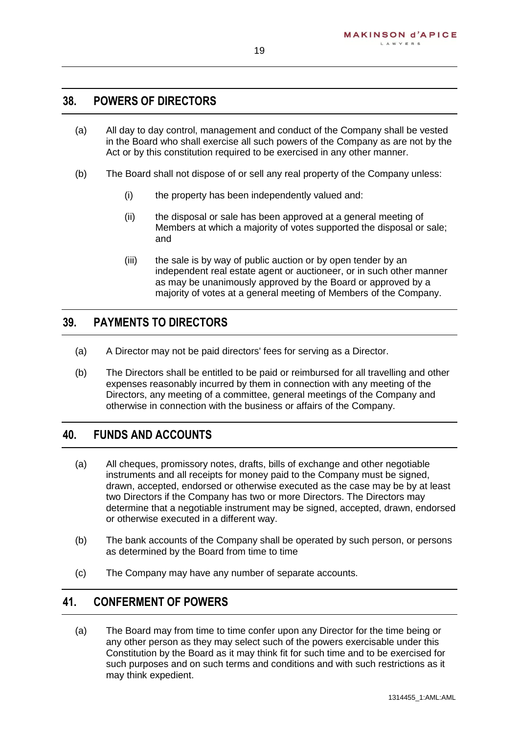## <span id="page-19-0"></span>**38. POWERS OF DIRECTORS**

- (a) All day to day control, management and conduct of the Company shall be vested in the Board who shall exercise all such powers of the Company as are not by the Act or by this constitution required to be exercised in any other manner.
- (b) The Board shall not dispose of or sell any real property of the Company unless:
	- (i) the property has been independently valued and:
	- (ii) the disposal or sale has been approved at a general meeting of Members at which a majority of votes supported the disposal or sale; and
	- (iii) the sale is by way of public auction or by open tender by an independent real estate agent or auctioneer, or in such other manner as may be unanimously approved by the Board or approved by a majority of votes at a general meeting of Members of the Company.

## <span id="page-19-1"></span>**39. PAYMENTS TO DIRECTORS**

- (a) A Director may not be paid directors' fees for serving as a Director.
- (b) The Directors shall be entitled to be paid or reimbursed for all travelling and other expenses reasonably incurred by them in connection with any meeting of the Directors, any meeting of a committee, general meetings of the Company and otherwise in connection with the business or affairs of the Company.

#### <span id="page-19-2"></span>**40. FUNDS AND ACCOUNTS**

- (a) All cheques, promissory notes, drafts, bills of exchange and other negotiable instruments and all receipts for money paid to the Company must be signed, drawn, accepted, endorsed or otherwise executed as the case may be by at least two Directors if the Company has two or more Directors. The Directors may determine that a negotiable instrument may be signed, accepted, drawn, endorsed or otherwise executed in a different way.
- (b) The bank accounts of the Company shall be operated by such person, or persons as determined by the Board from time to time
- (c) The Company may have any number of separate accounts.

#### <span id="page-19-3"></span>**41. CONFERMENT OF POWERS**

(a) The Board may from time to time confer upon any Director for the time being or any other person as they may select such of the powers exercisable under this Constitution by the Board as it may think fit for such time and to be exercised for such purposes and on such terms and conditions and with such restrictions as it may think expedient.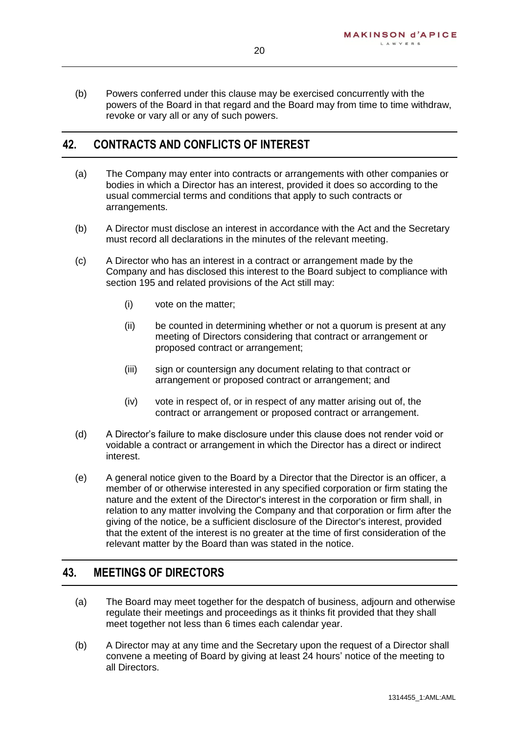(b) Powers conferred under this clause may be exercised concurrently with the powers of the Board in that regard and the Board may from time to time withdraw, revoke or vary all or any of such powers.

## <span id="page-20-0"></span>**42. CONTRACTS AND CONFLICTS OF INTEREST**

- (a) The Company may enter into contracts or arrangements with other companies or bodies in which a Director has an interest, provided it does so according to the usual commercial terms and conditions that apply to such contracts or arrangements.
- (b) A Director must disclose an interest in accordance with the Act and the Secretary must record all declarations in the minutes of the relevant meeting.
- (c) A Director who has an interest in a contract or arrangement made by the Company and has disclosed this interest to the Board subject to compliance with section 195 and related provisions of the Act still may:
	- (i) vote on the matter;
	- (ii) be counted in determining whether or not a quorum is present at any meeting of Directors considering that contract or arrangement or proposed contract or arrangement;
	- (iii) sign or countersign any document relating to that contract or arrangement or proposed contract or arrangement; and
	- (iv) vote in respect of, or in respect of any matter arising out of, the contract or arrangement or proposed contract or arrangement.
- (d) A Director's failure to make disclosure under this clause does not render void or voidable a contract or arrangement in which the Director has a direct or indirect interest.
- (e) A general notice given to the Board by a Director that the Director is an officer, a member of or otherwise interested in any specified corporation or firm stating the nature and the extent of the Director's interest in the corporation or firm shall, in relation to any matter involving the Company and that corporation or firm after the giving of the notice, be a sufficient disclosure of the Director's interest, provided that the extent of the interest is no greater at the time of first consideration of the relevant matter by the Board than was stated in the notice.

#### <span id="page-20-1"></span>**43. MEETINGS OF DIRECTORS**

- (a) The Board may meet together for the despatch of business, adjourn and otherwise regulate their meetings and proceedings as it thinks fit provided that they shall meet together not less than 6 times each calendar year.
- (b) A Director may at any time and the Secretary upon the request of a Director shall convene a meeting of Board by giving at least 24 hours' notice of the meeting to all Directors.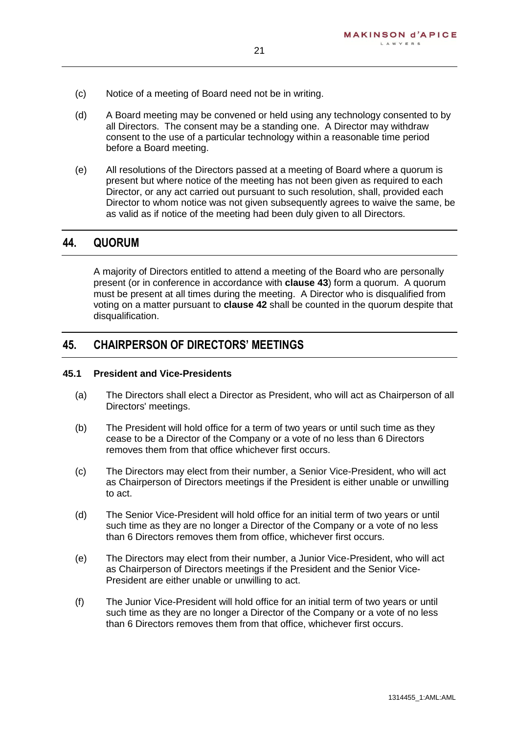- (c) Notice of a meeting of Board need not be in writing.
- (d) A Board meeting may be convened or held using any technology consented to by all Directors. The consent may be a standing one. A Director may withdraw consent to the use of a particular technology within a reasonable time period before a Board meeting.

21

(e) All resolutions of the Directors passed at a meeting of Board where a quorum is present but where notice of the meeting has not been given as required to each Director, or any act carried out pursuant to such resolution, shall, provided each Director to whom notice was not given subsequently agrees to waive the same, be as valid as if notice of the meeting had been duly given to all Directors.

#### <span id="page-21-0"></span>**44. QUORUM**

A majority of Directors entitled to attend a meeting of the Board who are personally present (or in conference in accordance with **clause [43](#page-20-1)**) form a quorum. A quorum must be present at all times during the meeting. A Director who is disqualified from voting on a matter pursuant to **clause [42](#page-20-0)** shall be counted in the quorum despite that disqualification.

#### <span id="page-21-1"></span>**45. CHAIRPERSON OF DIRECTORS' MEETINGS**

#### **45.1 President and Vice-Presidents**

- (a) The Directors shall elect a Director as President, who will act as Chairperson of all Directors' meetings.
- (b) The President will hold office for a term of two years or until such time as they cease to be a Director of the Company or a vote of no less than 6 Directors removes them from that office whichever first occurs.
- <span id="page-21-2"></span>(c) The Directors may elect from their number, a Senior Vice-President, who will act as Chairperson of Directors meetings if the President is either unable or unwilling to act.
- (d) The Senior Vice-President will hold office for an initial term of two years or until such time as they are no longer a Director of the Company or a vote of no less than 6 Directors removes them from office, whichever first occurs.
- (e) The Directors may elect from their number, a Junior Vice-President, who will act as Chairperson of Directors meetings if the President and the Senior Vice-President are either unable or unwilling to act.
- (f) The Junior Vice-President will hold office for an initial term of two years or until such time as they are no longer a Director of the Company or a vote of no less than 6 Directors removes them from that office, whichever first occurs.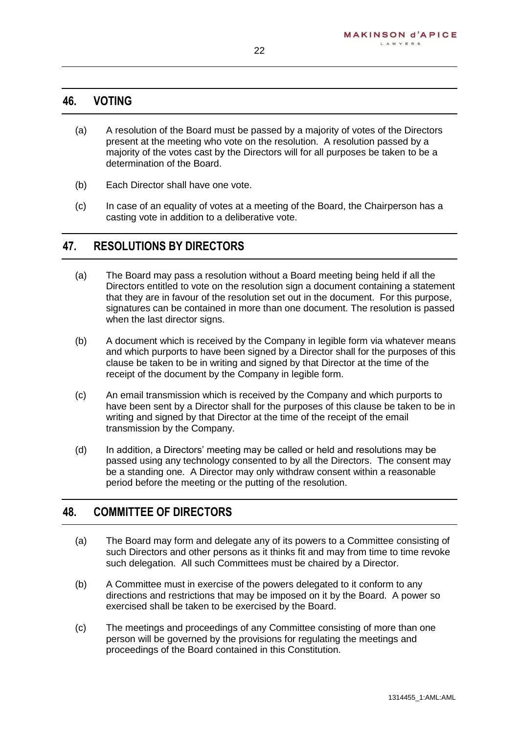#### <span id="page-22-0"></span>**46. VOTING**

- (a) A resolution of the Board must be passed by a majority of votes of the Directors present at the meeting who vote on the resolution. A resolution passed by a majority of the votes cast by the Directors will for all purposes be taken to be a determination of the Board.
- (b) Each Director shall have one vote.
- (c) In case of an equality of votes at a meeting of the Board, the Chairperson has a casting vote in addition to a deliberative vote.

#### <span id="page-22-1"></span>**47. RESOLUTIONS BY DIRECTORS**

- (a) The Board may pass a resolution without a Board meeting being held if all the Directors entitled to vote on the resolution sign a document containing a statement that they are in favour of the resolution set out in the document. For this purpose, signatures can be contained in more than one document. The resolution is passed when the last director signs.
- (b) A document which is received by the Company in legible form via whatever means and which purports to have been signed by a Director shall for the purposes of this clause be taken to be in writing and signed by that Director at the time of the receipt of the document by the Company in legible form.
- (c) An email transmission which is received by the Company and which purports to have been sent by a Director shall for the purposes of this clause be taken to be in writing and signed by that Director at the time of the receipt of the email transmission by the Company.
- (d) In addition, a Directors' meeting may be called or held and resolutions may be passed using any technology consented to by all the Directors. The consent may be a standing one. A Director may only withdraw consent within a reasonable period before the meeting or the putting of the resolution.

#### <span id="page-22-2"></span>**48. COMMITTEE OF DIRECTORS**

- (a) The Board may form and delegate any of its powers to a Committee consisting of such Directors and other persons as it thinks fit and may from time to time revoke such delegation. All such Committees must be chaired by a Director.
- (b) A Committee must in exercise of the powers delegated to it conform to any directions and restrictions that may be imposed on it by the Board. A power so exercised shall be taken to be exercised by the Board.
- (c) The meetings and proceedings of any Committee consisting of more than one person will be governed by the provisions for regulating the meetings and proceedings of the Board contained in this Constitution.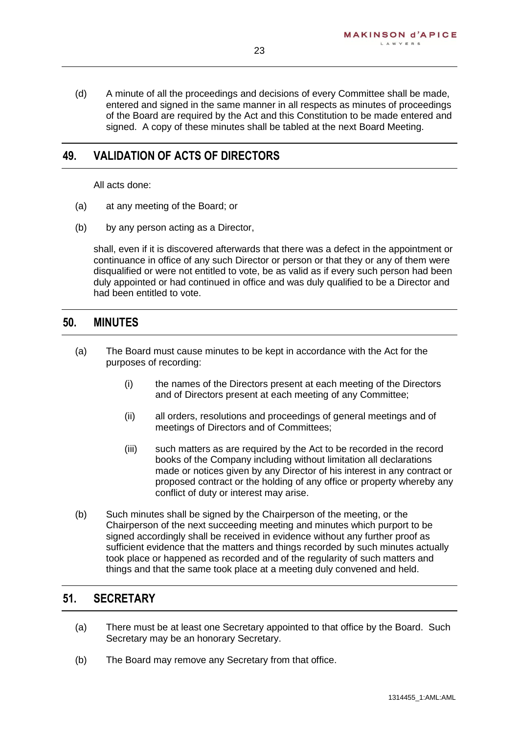(d) A minute of all the proceedings and decisions of every Committee shall be made, entered and signed in the same manner in all respects as minutes of proceedings of the Board are required by the Act and this Constitution to be made entered and signed. A copy of these minutes shall be tabled at the next Board Meeting.

## <span id="page-23-0"></span>**49. VALIDATION OF ACTS OF DIRECTORS**

All acts done:

- (a) at any meeting of the Board; or
- (b) by any person acting as a Director,

shall, even if it is discovered afterwards that there was a defect in the appointment or continuance in office of any such Director or person or that they or any of them were disqualified or were not entitled to vote, be as valid as if every such person had been duly appointed or had continued in office and was duly qualified to be a Director and had been entitled to vote.

#### <span id="page-23-1"></span>**50. MINUTES**

- (a) The Board must cause minutes to be kept in accordance with the Act for the purposes of recording:
	- (i) the names of the Directors present at each meeting of the Directors and of Directors present at each meeting of any Committee;
	- (ii) all orders, resolutions and proceedings of general meetings and of meetings of Directors and of Committees;
	- (iii) such matters as are required by the Act to be recorded in the record books of the Company including without limitation all declarations made or notices given by any Director of his interest in any contract or proposed contract or the holding of any office or property whereby any conflict of duty or interest may arise.
- (b) Such minutes shall be signed by the Chairperson of the meeting, or the Chairperson of the next succeeding meeting and minutes which purport to be signed accordingly shall be received in evidence without any further proof as sufficient evidence that the matters and things recorded by such minutes actually took place or happened as recorded and of the regularity of such matters and things and that the same took place at a meeting duly convened and held.

## <span id="page-23-2"></span>**51. SECRETARY**

- (a) There must be at least one Secretary appointed to that office by the Board. Such Secretary may be an honorary Secretary.
- (b) The Board may remove any Secretary from that office.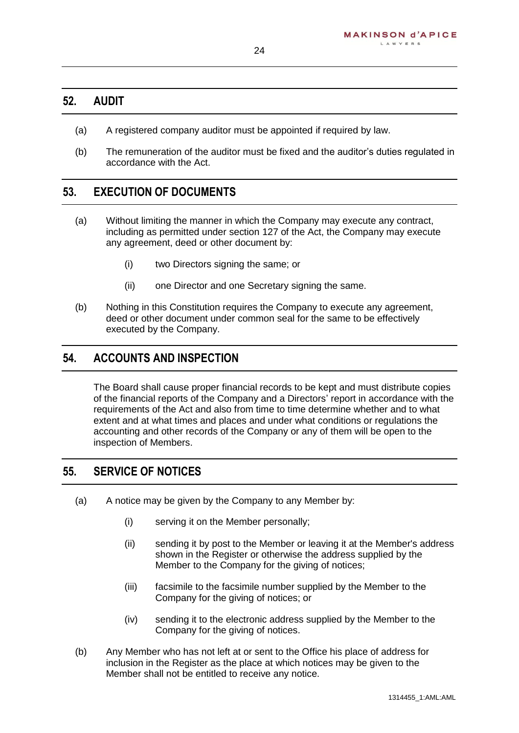#### <span id="page-24-0"></span>**52. AUDIT**

- (a) A registered company auditor must be appointed if required by law.
- (b) The remuneration of the auditor must be fixed and the auditor's duties regulated in accordance with the Act.

## <span id="page-24-1"></span>**53. EXECUTION OF DOCUMENTS**

- (a) Without limiting the manner in which the Company may execute any contract, including as permitted under section 127 of the Act, the Company may execute any agreement, deed or other document by:
	- (i) two Directors signing the same; or
	- (ii) one Director and one Secretary signing the same.
- (b) Nothing in this Constitution requires the Company to execute any agreement, deed or other document under common seal for the same to be effectively executed by the Company.

## <span id="page-24-2"></span>**54. ACCOUNTS AND INSPECTION**

The Board shall cause proper financial records to be kept and must distribute copies of the financial reports of the Company and a Directors' report in accordance with the requirements of the Act and also from time to time determine whether and to what extent and at what times and places and under what conditions or regulations the accounting and other records of the Company or any of them will be open to the inspection of Members.

#### <span id="page-24-3"></span>**55. SERVICE OF NOTICES**

- (a) A notice may be given by the Company to any Member by:
	- (i) serving it on the Member personally;
	- (ii) sending it by post to the Member or leaving it at the Member's address shown in the Register or otherwise the address supplied by the Member to the Company for the giving of notices;
	- (iii) facsimile to the facsimile number supplied by the Member to the Company for the giving of notices; or
	- (iv) sending it to the electronic address supplied by the Member to the Company for the giving of notices.
- (b) Any Member who has not left at or sent to the Office his place of address for inclusion in the Register as the place at which notices may be given to the Member shall not be entitled to receive any notice.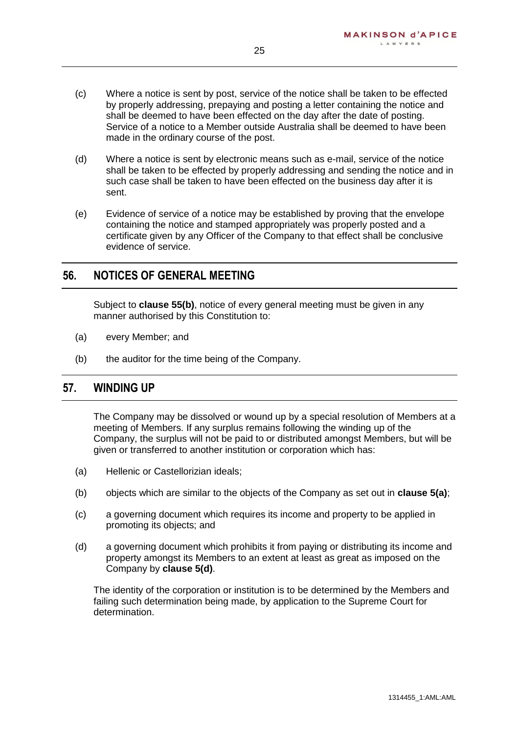- (c) Where a notice is sent by post, service of the notice shall be taken to be effected by properly addressing, prepaying and posting a letter containing the notice and shall be deemed to have been effected on the day after the date of posting. Service of a notice to a Member outside Australia shall be deemed to have been made in the ordinary course of the post.
- (d) Where a notice is sent by electronic means such as e-mail, service of the notice shall be taken to be effected by properly addressing and sending the notice and in such case shall be taken to have been effected on the business day after it is sent.
- (e) Evidence of service of a notice may be established by proving that the envelope containing the notice and stamped appropriately was properly posted and a certificate given by any Officer of the Company to that effect shall be conclusive evidence of service.

#### <span id="page-25-0"></span>**56. NOTICES OF GENERAL MEETING**

Subject to **clause [55\(b\)](#page-24-3)**, notice of every general meeting must be given in any manner authorised by this Constitution to:

- (a) every Member; and
- (b) the auditor for the time being of the Company.

#### <span id="page-25-1"></span>**57. WINDING UP**

The Company may be dissolved or wound up by a special resolution of Members at a meeting of Members. If any surplus remains following the winding up of the Company, the surplus will not be paid to or distributed amongst Members, but will be given or transferred to another institution or corporation which has:

- (a) Hellenic or Castellorizian ideals;
- (b) objects which are similar to the objects of the Company as set out in **clause [5\(a\)](#page-5-0)**;
- (c) a governing document which requires its income and property to be applied in promoting its objects; and
- (d) a governing document which prohibits it from paying or distributing its income and property amongst its Members to an extent at least as great as imposed on the Company by **clause [5\(d\)](#page-5-0)**.

The identity of the corporation or institution is to be determined by the Members and failing such determination being made, by application to the Supreme Court for determination.